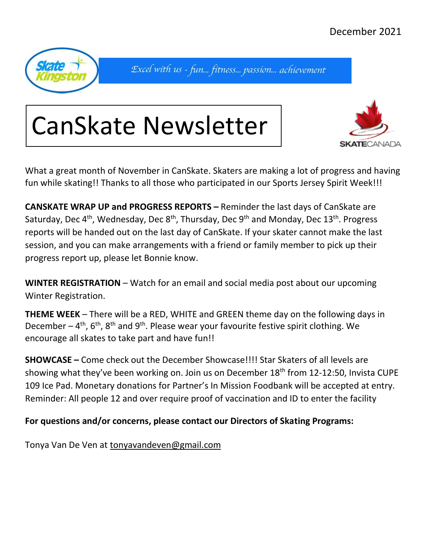

Excel with us - fun... fitness... passion... achievement





What a great month of November in CanSkate. Skaters are making a lot of progress and having fun while skating!! Thanks to all those who participated in our Sports Jersey Spirit Week!!!

**CANSKATE WRAP UP and PROGRESS REPORTS –** Reminder the last days of CanSkate are Saturday, Dec 4<sup>th</sup>, Wednesday, Dec 8<sup>th</sup>, Thursday, Dec 9<sup>th</sup> and Monday, Dec 13<sup>th</sup>. Progress reports will be handed out on the last day of CanSkate. If your skater cannot make the last session, and you can make arrangements with a friend or family member to pick up their progress report up, please let Bonnie know.

**WINTER REGISTRATION** – Watch for an email and social media post about our upcoming Winter Registration.

**THEME WEEK** – There will be a RED, WHITE and GREEN theme day on the following days in December  $-$  4<sup>th</sup>, 6<sup>th</sup>, 8<sup>th</sup> and 9<sup>th</sup>. Please wear your favourite festive spirit clothing. We encourage all skates to take part and have fun!!

**SHOWCASE –** Come check out the December Showcase!!!! Star Skaters of all levels are showing what they've been working on. Join us on December 18<sup>th</sup> from 12-12:50, Invista CUPE 109 Ice Pad. Monetary donations for Partner's In Mission Foodbank will be accepted at entry. Reminder: All people 12 and over require proof of vaccination and ID to enter the facility

## **For questions and/or concerns, please contact our Directors of Skating Programs:**

Tonya Van De Ven at [tonyavandeven@gmail.com](mailto:tonyavandeven@gmail.com)